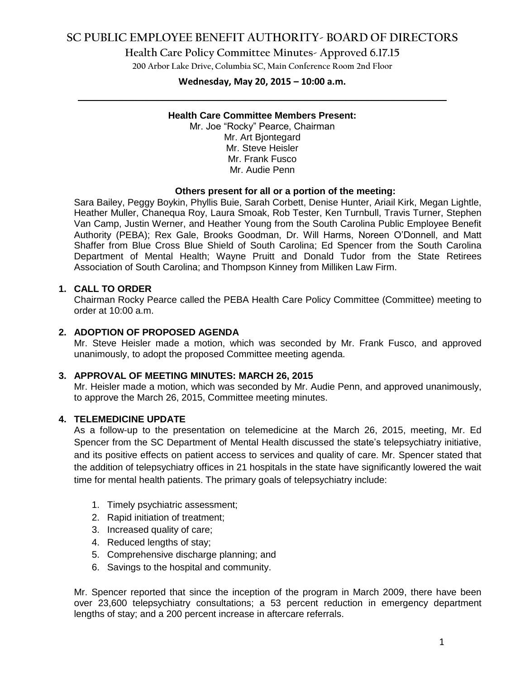# **SC PUBLIC EMPLOYEE BENEFIT AUTHORITY- BOARD OF DIRECTORS**

## **Health Care Policy Committee Minutes- Approved 6.17.15**

**200 Arbor Lake Drive, Columbia SC, Main Conference Room 2nd Floor**

# **Wednesday, May 20, 2015 – 10:00 a.m. \_\_\_\_\_\_\_\_\_\_\_\_\_\_\_\_\_\_\_\_\_\_\_\_\_\_\_\_\_\_\_\_\_\_\_\_\_\_\_\_\_\_\_\_\_\_\_\_\_\_\_\_\_\_\_\_\_\_\_\_\_\_\_\_\_\_\_\_\_\_\_\_**

#### **Health Care Committee Members Present:**

Mr. Joe "Rocky" Pearce, Chairman Mr. Art Bjontegard Mr. Steve Heisler Mr. Frank Fusco Mr. Audie Penn

#### **Others present for all or a portion of the meeting:**

Sara Bailey, Peggy Boykin, Phyllis Buie, Sarah Corbett, Denise Hunter, Ariail Kirk, Megan Lightle, Heather Muller, Chanequa Roy, Laura Smoak, Rob Tester, Ken Turnbull, Travis Turner, Stephen Van Camp, Justin Werner, and Heather Young from the South Carolina Public Employee Benefit Authority (PEBA); Rex Gale, Brooks Goodman, Dr. Will Harms, Noreen O'Donnell, and Matt Shaffer from Blue Cross Blue Shield of South Carolina; Ed Spencer from the South Carolina Department of Mental Health; Wayne Pruitt and Donald Tudor from the State Retirees Association of South Carolina; and Thompson Kinney from Milliken Law Firm.

#### **1. CALL TO ORDER**

Chairman Rocky Pearce called the PEBA Health Care Policy Committee (Committee) meeting to order at 10:00 a.m.

### **2. ADOPTION OF PROPOSED AGENDA**

Mr. Steve Heisler made a motion, which was seconded by Mr. Frank Fusco, and approved unanimously, to adopt the proposed Committee meeting agenda.

#### **3. APPROVAL OF MEETING MINUTES: MARCH 26, 2015**

Mr. Heisler made a motion, which was seconded by Mr. Audie Penn, and approved unanimously, to approve the March 26, 2015, Committee meeting minutes.

#### **4. TELEMEDICINE UPDATE**

As a follow-up to the presentation on telemedicine at the March 26, 2015, meeting, Mr. Ed Spencer from the SC Department of Mental Health discussed the state's telepsychiatry initiative, and its positive effects on patient access to services and quality of care. Mr. Spencer stated that the addition of telepsychiatry offices in 21 hospitals in the state have significantly lowered the wait time for mental health patients. The primary goals of telepsychiatry include:

- 1. Timely psychiatric assessment;
- 2. Rapid initiation of treatment;
- 3. Increased quality of care;
- 4. Reduced lengths of stay;
- 5. Comprehensive discharge planning; and
- 6. Savings to the hospital and community.

Mr. Spencer reported that since the inception of the program in March 2009, there have been over 23,600 telepsychiatry consultations; a 53 percent reduction in emergency department lengths of stay; and a 200 percent increase in aftercare referrals.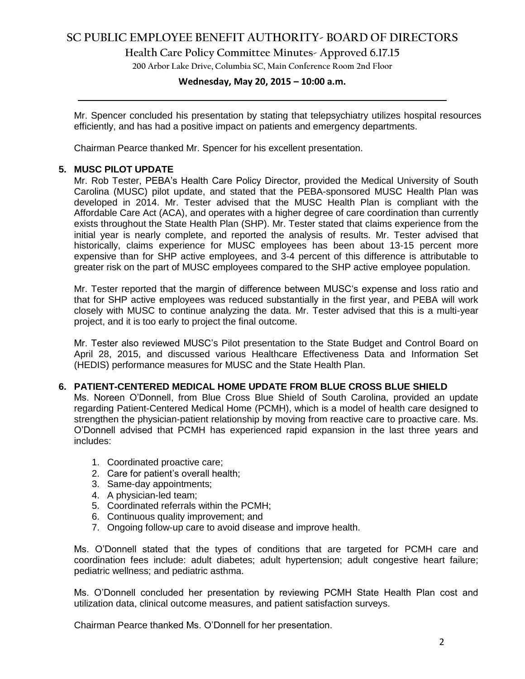# **SC PUBLIC EMPLOYEE BENEFIT AUTHORITY- BOARD OF DIRECTORS**

**Health Care Policy Committee Minutes- Approved 6.17.15**

**200 Arbor Lake Drive, Columbia SC, Main Conference Room 2nd Floor**

# **Wednesday, May 20, 2015 – 10:00 a.m. \_\_\_\_\_\_\_\_\_\_\_\_\_\_\_\_\_\_\_\_\_\_\_\_\_\_\_\_\_\_\_\_\_\_\_\_\_\_\_\_\_\_\_\_\_\_\_\_\_\_\_\_\_\_\_\_\_\_\_\_\_\_\_\_\_\_\_\_\_\_\_\_**

Mr. Spencer concluded his presentation by stating that telepsychiatry utilizes hospital resources efficiently, and has had a positive impact on patients and emergency departments.

Chairman Pearce thanked Mr. Spencer for his excellent presentation.

## **5. MUSC PILOT UPDATE**

Mr. Rob Tester, PEBA's Health Care Policy Director, provided the Medical University of South Carolina (MUSC) pilot update, and stated that the PEBA-sponsored MUSC Health Plan was developed in 2014. Mr. Tester advised that the MUSC Health Plan is compliant with the Affordable Care Act (ACA), and operates with a higher degree of care coordination than currently exists throughout the State Health Plan (SHP). Mr. Tester stated that claims experience from the initial year is nearly complete, and reported the analysis of results. Mr. Tester advised that historically, claims experience for MUSC employees has been about 13-15 percent more expensive than for SHP active employees, and 3-4 percent of this difference is attributable to greater risk on the part of MUSC employees compared to the SHP active employee population.

Mr. Tester reported that the margin of difference between MUSC's expense and loss ratio and that for SHP active employees was reduced substantially in the first year, and PEBA will work closely with MUSC to continue analyzing the data. Mr. Tester advised that this is a multi-year project, and it is too early to project the final outcome.

Mr. Tester also reviewed MUSC's Pilot presentation to the State Budget and Control Board on April 28, 2015, and discussed various Healthcare Effectiveness Data and Information Set (HEDIS) [performance measures](http://en.wikipedia.org/wiki/Performance_measurement) for MUSC and the State Health Plan.

### **6. PATIENT-CENTERED MEDICAL HOME UPDATE FROM BLUE CROSS BLUE SHIELD**

Ms. Noreen O'Donnell, from Blue Cross Blue Shield of South Carolina, provided an update regarding Patient-Centered Medical Home (PCMH), which is a model of health care designed to strengthen the physician-patient relationship by moving from reactive care to proactive care. Ms. O'Donnell advised that PCMH has experienced rapid expansion in the last three years and includes:

- 1. Coordinated proactive care;
- 2. Care for patient's overall health;
- 3. Same-day appointments;
- 4. A physician-led team;
- 5. Coordinated referrals within the PCMH;
- 6. Continuous quality improvement; and
- 7. Ongoing follow-up care to avoid disease and improve health.

Ms. O'Donnell stated that the types of conditions that are targeted for PCMH care and coordination fees include: adult diabetes; adult hypertension; adult congestive heart failure; pediatric wellness; and pediatric asthma.

Ms. O'Donnell concluded her presentation by reviewing PCMH State Health Plan cost and utilization data, clinical outcome measures, and patient satisfaction surveys.

Chairman Pearce thanked Ms. O'Donnell for her presentation.